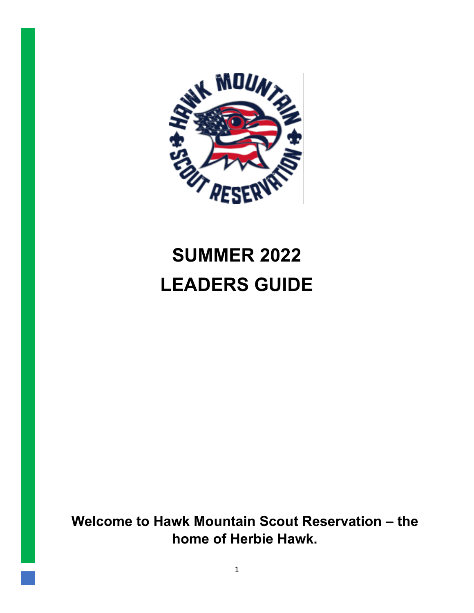

# **SUMMER 2022 LEADERS GUIDE**

**Welcome to Hawk Mountain Scout Reservation – the home of Herbie Hawk.**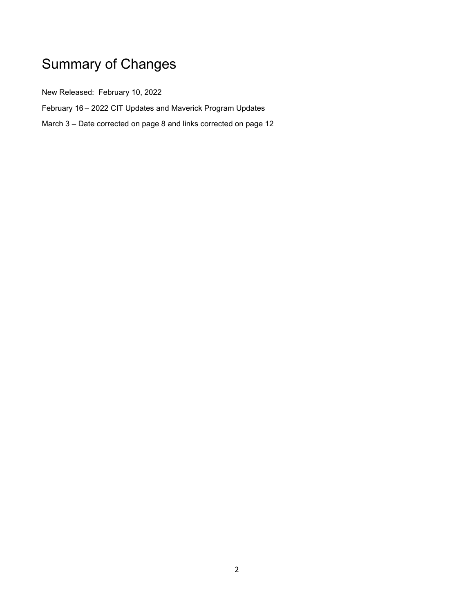# Summary of Changes

New Released: February 10, 2022

February 16 – 2022 CIT Updates and Maverick Program Updates

March 3 – Date corrected on page 8 and links corrected on page 12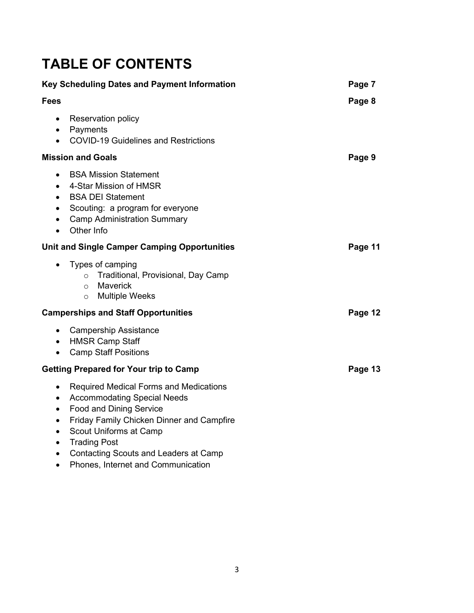### **TABLE OF CONTENTS**

| Key Scheduling Dates and Payment Information                                            |                                                                                                                                                                                                                                                                                                                  | Page 7  |
|-----------------------------------------------------------------------------------------|------------------------------------------------------------------------------------------------------------------------------------------------------------------------------------------------------------------------------------------------------------------------------------------------------------------|---------|
| <b>Fees</b>                                                                             |                                                                                                                                                                                                                                                                                                                  | Page 8  |
| $\bullet$<br>$\bullet$<br>$\bullet$                                                     | <b>Reservation policy</b><br>Payments<br><b>COVID-19 Guidelines and Restrictions</b>                                                                                                                                                                                                                             |         |
|                                                                                         | <b>Mission and Goals</b>                                                                                                                                                                                                                                                                                         | Page 9  |
| $\bullet$<br>$\bullet$<br>$\bullet$<br>$\bullet$<br>$\bullet$<br>$\bullet$              | <b>BSA Mission Statement</b><br>4-Star Mission of HMSR<br><b>BSA DEI Statement</b><br>Scouting: a program for everyone<br><b>Camp Administration Summary</b><br>Other Info                                                                                                                                       |         |
|                                                                                         | <b>Unit and Single Camper Camping Opportunities</b>                                                                                                                                                                                                                                                              | Page 11 |
|                                                                                         | Types of camping<br>o Traditional, Provisional, Day Camp<br>Maverick<br>$\circ$<br><b>Multiple Weeks</b><br>$\circ$                                                                                                                                                                                              |         |
|                                                                                         | <b>Camperships and Staff Opportunities</b>                                                                                                                                                                                                                                                                       | Page 12 |
| $\bullet$<br>$\bullet$<br>$\bullet$                                                     | <b>Campership Assistance</b><br><b>HMSR Camp Staff</b><br><b>Camp Staff Positions</b>                                                                                                                                                                                                                            |         |
| <b>Getting Prepared for Your trip to Camp</b>                                           |                                                                                                                                                                                                                                                                                                                  | Page 13 |
| $\bullet$<br>$\bullet$<br>$\bullet$<br>$\bullet$<br>$\bullet$<br>$\bullet$<br>$\bullet$ | <b>Required Medical Forms and Medications</b><br><b>Accommodating Special Needs</b><br><b>Food and Dining Service</b><br><b>Friday Family Chicken Dinner and Campfire</b><br>Scout Uniforms at Camp<br><b>Trading Post</b><br><b>Contacting Scouts and Leaders at Camp</b><br>Phones, Internet and Communication |         |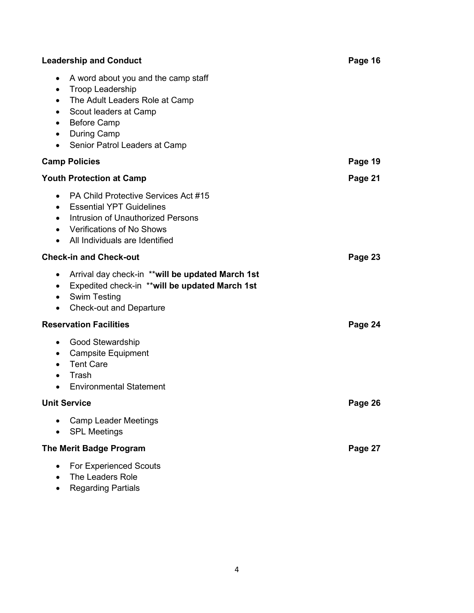| <b>Leadership and Conduct</b>                                                                                                                                                                                                                                        |         |
|----------------------------------------------------------------------------------------------------------------------------------------------------------------------------------------------------------------------------------------------------------------------|---------|
| A word about you and the camp staff<br>$\bullet$<br><b>Troop Leadership</b><br>$\bullet$<br>The Adult Leaders Role at Camp<br>$\bullet$<br>Scout leaders at Camp<br>$\bullet$<br><b>Before Camp</b><br>$\bullet$<br>• During Camp<br>• Senior Patrol Leaders at Camp |         |
| <b>Camp Policies</b>                                                                                                                                                                                                                                                 | Page 19 |
| <b>Youth Protection at Camp</b>                                                                                                                                                                                                                                      | Page 21 |
| <b>PA Child Protective Services Act #15</b><br>$\bullet$<br><b>Essential YPT Guidelines</b><br>$\bullet$<br>Intrusion of Unauthorized Persons<br>$\bullet$<br>• Verifications of No Shows<br>• All Individuals are Identified                                        |         |
| <b>Check-in and Check-out</b>                                                                                                                                                                                                                                        | Page 23 |
| Arrival day check-in **will be updated March 1st<br>$\bullet$<br>Expedited check-in ** will be updated March 1st<br>$\bullet$<br>• Swim Testing<br><b>Check-out and Departure</b><br>$\bullet$                                                                       |         |
| <b>Reservation Facilities</b>                                                                                                                                                                                                                                        | Page 24 |
| • Good Stewardship<br><b>Campsite Equipment</b><br>$\bullet$<br><b>Tent Care</b><br>$\bullet$<br>Trash<br>$\bullet$<br><b>Environmental Statement</b><br>$\bullet$                                                                                                   |         |
| <b>Unit Service</b>                                                                                                                                                                                                                                                  | Page 26 |
| <b>Camp Leader Meetings</b><br><b>SPL Meetings</b>                                                                                                                                                                                                                   |         |
| <b>The Merit Badge Program</b>                                                                                                                                                                                                                                       | Page 27 |
| For Experienced Scouts<br>The Leaders Role<br><b>Regarding Partials</b>                                                                                                                                                                                              |         |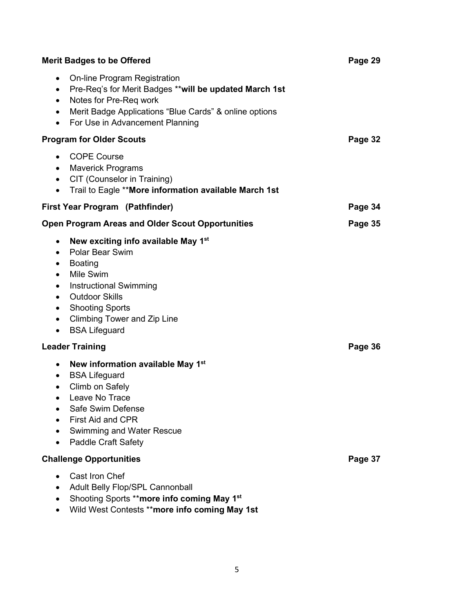| <b>Merit Badges to be Offered</b>                                                                                                                                                                                                                                                                                                                                |         |
|------------------------------------------------------------------------------------------------------------------------------------------------------------------------------------------------------------------------------------------------------------------------------------------------------------------------------------------------------------------|---------|
| <b>On-line Program Registration</b><br>$\bullet$<br>Pre-Req's for Merit Badges ** will be updated March 1st<br>$\bullet$<br>Notes for Pre-Req work<br>$\bullet$<br>Merit Badge Applications "Blue Cards" & online options<br>$\bullet$<br>For Use in Advancement Planning<br>$\bullet$                                                                           |         |
| <b>Program for Older Scouts</b>                                                                                                                                                                                                                                                                                                                                  | Page 32 |
| <b>COPE Course</b><br>$\bullet$<br>• Maverick Programs<br>CIT (Counselor in Training)<br>$\bullet$<br>Trail to Eagle ** More information available March 1st<br>$\bullet$                                                                                                                                                                                        |         |
| <b>First Year Program (Pathfinder)</b>                                                                                                                                                                                                                                                                                                                           | Page 34 |
| <b>Open Program Areas and Older Scout Opportunities</b>                                                                                                                                                                                                                                                                                                          | Page 35 |
| New exciting info available May 1 <sup>st</sup><br>٠<br>Polar Bear Swim<br>$\bullet$<br><b>Boating</b><br>$\bullet$<br>Mile Swim<br>$\bullet$<br><b>Instructional Swimming</b><br>$\bullet$<br><b>Outdoor Skills</b><br>$\bullet$<br><b>Shooting Sports</b><br>$\bullet$<br><b>Climbing Tower and Zip Line</b><br>$\bullet$<br><b>BSA Lifeguard</b><br>$\bullet$ |         |
| <b>Leader Training</b>                                                                                                                                                                                                                                                                                                                                           | Page 36 |
| New information available May 1st<br>$\bullet$<br><b>BSA Lifeguard</b><br>$\bullet$<br>Climb on Safely<br>$\bullet$<br>Leave No Trace<br>$\bullet$<br>Safe Swim Defense<br><b>First Aid and CPR</b><br>Swimming and Water Rescue<br><b>Paddle Craft Safety</b>                                                                                                   |         |
| <b>Challenge Opportunities</b>                                                                                                                                                                                                                                                                                                                                   | Page 37 |
| Cast Iron Chef<br>Adult Belly Flop/SPL Cannonball<br>Shooting Sports ** more info coming May 1 <sup>st</sup><br>Wild West Contests ** more info coming May 1st                                                                                                                                                                                                   |         |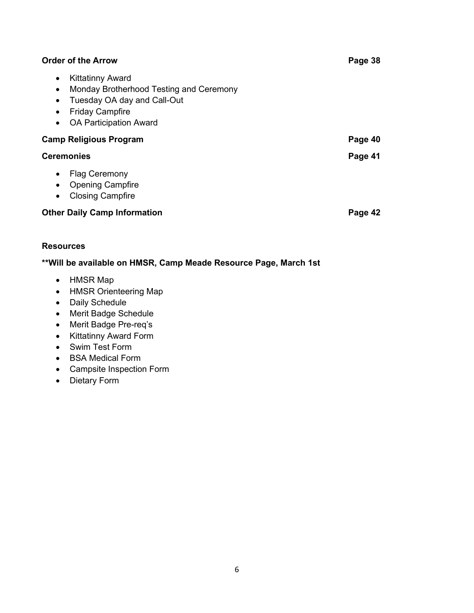| <b>Order of the Arrow</b>                                                                                                                                                                                        |         |
|------------------------------------------------------------------------------------------------------------------------------------------------------------------------------------------------------------------|---------|
| <b>Kittatinny Award</b><br>$\bullet$<br>Monday Brotherhood Testing and Ceremony<br>$\bullet$<br>Tuesday OA day and Call-Out<br><b>Friday Campfire</b><br>$\bullet$<br><b>OA Participation Award</b><br>$\bullet$ |         |
| <b>Camp Religious Program</b>                                                                                                                                                                                    | Page 40 |
| <b>Ceremonies</b>                                                                                                                                                                                                | Page 41 |
| <b>Flag Ceremony</b><br>$\bullet$<br><b>Opening Campfire</b><br>$\bullet$<br><b>Closing Campfire</b><br>$\bullet$                                                                                                |         |
| <b>Other Daily Camp Information</b>                                                                                                                                                                              |         |

#### **Resources**

#### **\*\*Will be available on HMSR, Camp Meade Resource Page, March 1st**

- HMSR Map
- HMSR Orienteering Map
- Daily Schedule
- Merit Badge Schedule
- Merit Badge Pre-req's
- Kittatinny Award Form
- Swim Test Form
- BSA Medical Form
- Campsite Inspection Form
- Dietary Form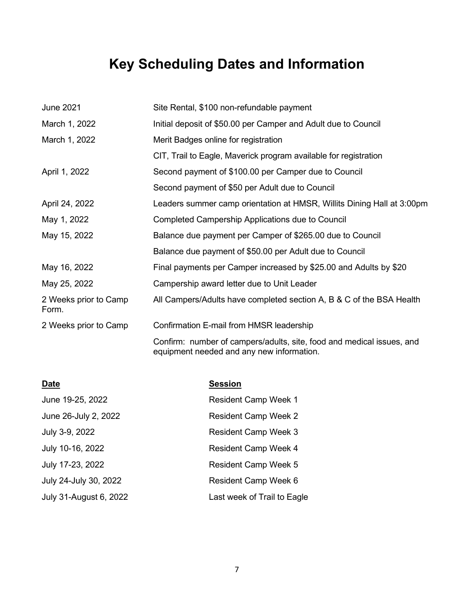# **Key Scheduling Dates and Information**

| <b>June 2021</b>               | Site Rental, \$100 non-refundable payment                              |
|--------------------------------|------------------------------------------------------------------------|
| March 1, 2022                  | Initial deposit of \$50.00 per Camper and Adult due to Council         |
| March 1, 2022                  | Merit Badges online for registration                                   |
|                                | CIT, Trail to Eagle, Maverick program available for registration       |
| April 1, 2022                  | Second payment of \$100.00 per Camper due to Council                   |
|                                | Second payment of \$50 per Adult due to Council                        |
| April 24, 2022                 | Leaders summer camp orientation at HMSR, Willits Dining Hall at 3:00pm |
| May 1, 2022                    | Completed Campership Applications due to Council                       |
| May 15, 2022                   | Balance due payment per Camper of \$265.00 due to Council              |
|                                | Balance due payment of \$50.00 per Adult due to Council                |
| May 16, 2022                   | Final payments per Camper increased by \$25.00 and Adults by \$20      |
| May 25, 2022                   | Campership award letter due to Unit Leader                             |
| 2 Weeks prior to Camp<br>Form. | All Campers/Adults have completed section A, B & C of the BSA Health   |
| 2 Weeks prior to Camp          | Confirmation E-mail from HMSR leadership                               |
|                                | Confirm: number of campers/adults, site, food and medical issues, and  |

equipment needed and any new information.

| <b>Date</b>            | <b>Session</b>              |
|------------------------|-----------------------------|
| June 19-25, 2022       | <b>Resident Camp Week 1</b> |
| June 26-July 2, 2022   | <b>Resident Camp Week 2</b> |
| July 3-9, 2022         | <b>Resident Camp Week 3</b> |
| July 10-16, 2022       | <b>Resident Camp Week 4</b> |
| July 17-23, 2022       | <b>Resident Camp Week 5</b> |
| July 24-July 30, 2022  | <b>Resident Camp Week 6</b> |
| July 31-August 6, 2022 | Last week of Trail to Eagle |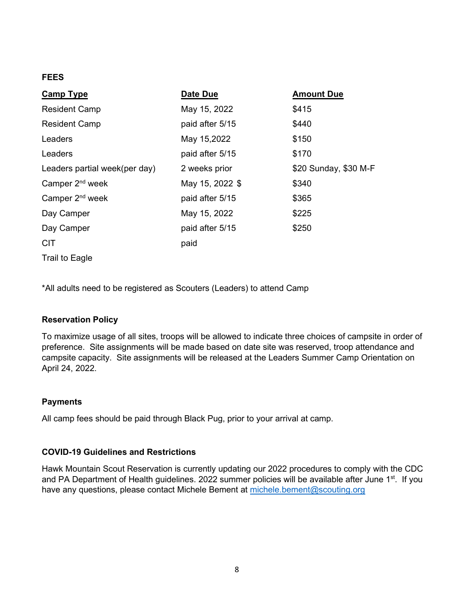#### **FEES**

| <b>Camp Type</b>              | Date Due        | <b>Amount Due</b>     |
|-------------------------------|-----------------|-----------------------|
| <b>Resident Camp</b>          | May 15, 2022    | \$415                 |
| <b>Resident Camp</b>          | paid after 5/15 | \$440                 |
| Leaders                       | May 15,2022     | \$150                 |
| Leaders                       | paid after 5/15 | \$170                 |
| Leaders partial week(per day) | 2 weeks prior   | \$20 Sunday, \$30 M-F |
| Camper 2 <sup>nd</sup> week   | May 15, 2022 \$ | \$340                 |
| Camper 2 <sup>nd</sup> week   | paid after 5/15 | \$365                 |
| Day Camper                    | May 15, 2022    | \$225                 |
| Day Camper                    | paid after 5/15 | \$250                 |
| <b>CIT</b>                    | paid            |                       |
| Trail to Eagle                |                 |                       |

\*All adults need to be registered as Scouters (Leaders) to attend Camp

#### **Reservation Policy**

To maximize usage of all sites, troops will be allowed to indicate three choices of campsite in order of preference. Site assignments will be made based on date site was reserved, troop attendance and campsite capacity. Site assignments will be released at the Leaders Summer Camp Orientation on April 24, 2022.

#### **Payments**

All camp fees should be paid through Black Pug, prior to your arrival at camp.

#### **COVID-19 Guidelines and Restrictions**

Hawk Mountain Scout Reservation is currently updating our 2022 procedures to comply with the CDC and PA Department of Health guidelines. 2022 summer policies will be available after June 1<sup>st</sup>. If you have any questions, please contact Michele Bement at [michele.bement@scouting.org](mailto:michele.bement@scouting.org)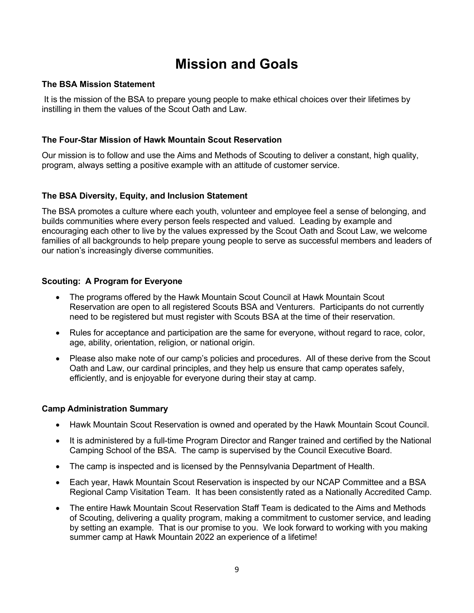### **Mission and Goals**

#### **The BSA Mission Statement**

It is the mission of the BSA to prepare young people to make ethical choices over their lifetimes by instilling in them the values of the Scout Oath and Law.

#### **The Four-Star Mission of Hawk Mountain Scout Reservation**

Our mission is to follow and use the Aims and Methods of Scouting to deliver a constant, high quality, program, always setting a positive example with an attitude of customer service.

#### **The BSA Diversity, Equity, and Inclusion Statement**

The BSA promotes a culture where each youth, volunteer and employee feel a sense of belonging, and builds communities where every person feels respected and valued. Leading by example and encouraging each other to live by the values expressed by the Scout Oath and Scout Law, we welcome families of all backgrounds to help prepare young people to serve as successful members and leaders of our nation's increasingly diverse communities.

#### **Scouting: A Program for Everyone**

- The programs offered by the Hawk Mountain Scout Council at Hawk Mountain Scout Reservation are open to all registered Scouts BSA and Venturers. Participants do not currently need to be registered but must register with Scouts BSA at the time of their reservation.
- Rules for acceptance and participation are the same for everyone, without regard to race, color, age, ability, orientation, religion, or national origin.
- Please also make note of our camp's policies and procedures. All of these derive from the Scout Oath and Law, our cardinal principles, and they help us ensure that camp operates safely, efficiently, and is enjoyable for everyone during their stay at camp.

#### **Camp Administration Summary**

- Hawk Mountain Scout Reservation is owned and operated by the Hawk Mountain Scout Council.
- It is administered by a full-time Program Director and Ranger trained and certified by the National Camping School of the BSA. The camp is supervised by the Council Executive Board.
- The camp is inspected and is licensed by the Pennsylvania Department of Health.
- Each year, Hawk Mountain Scout Reservation is inspected by our NCAP Committee and a BSA Regional Camp Visitation Team. It has been consistently rated as a Nationally Accredited Camp.
- The entire Hawk Mountain Scout Reservation Staff Team is dedicated to the Aims and Methods of Scouting, delivering a quality program, making a commitment to customer service, and leading by setting an example. That is our promise to you. We look forward to working with you making summer camp at Hawk Mountain 2022 an experience of a lifetime!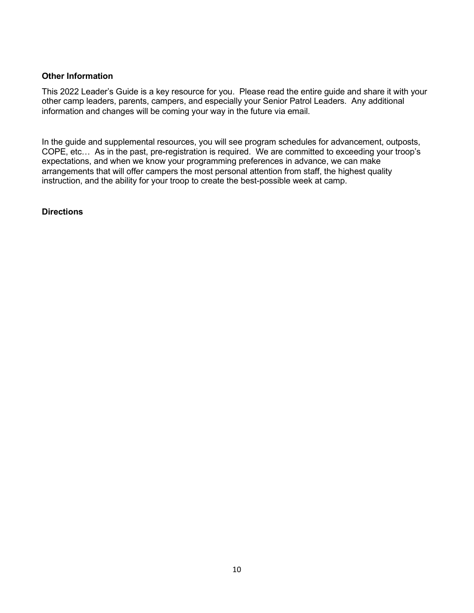#### **Other Information**

This 2022 Leader's Guide is a key resource for you. Please read the entire guide and share it with your other camp leaders, parents, campers, and especially your Senior Patrol Leaders. Any additional information and changes will be coming your way in the future via email.

In the guide and supplemental resources, you will see program schedules for advancement, outposts, COPE, etc… As in the past, pre-registration is required. We are committed to exceeding your troop's expectations, and when we know your programming preferences in advance, we can make arrangements that will offer campers the most personal attention from staff, the highest quality instruction, and the ability for your troop to create the best-possible week at camp.

#### **Directions**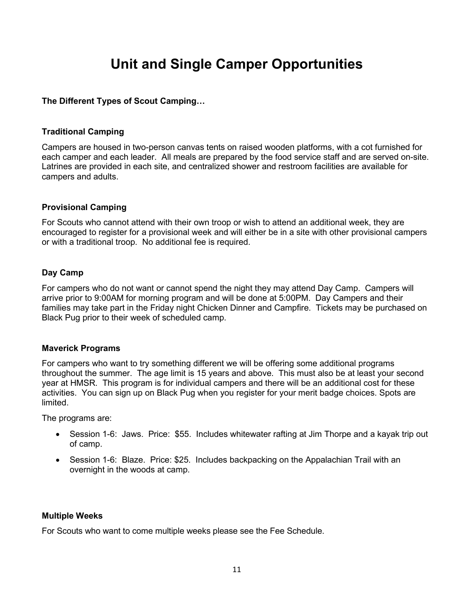### **Unit and Single Camper Opportunities**

#### **The Different Types of Scout Camping…**

#### **Traditional Camping**

Campers are housed in two-person canvas tents on raised wooden platforms, with a cot furnished for each camper and each leader. All meals are prepared by the food service staff and are served on-site. Latrines are provided in each site, and centralized shower and restroom facilities are available for campers and adults.

#### **Provisional Camping**

For Scouts who cannot attend with their own troop or wish to attend an additional week, they are encouraged to register for a provisional week and will either be in a site with other provisional campers or with a traditional troop. No additional fee is required.

#### **Day Camp**

For campers who do not want or cannot spend the night they may attend Day Camp. Campers will arrive prior to 9:00AM for morning program and will be done at 5:00PM. Day Campers and their families may take part in the Friday night Chicken Dinner and Campfire. Tickets may be purchased on Black Pug prior to their week of scheduled camp.

#### **Maverick Programs**

For campers who want to try something different we will be offering some additional programs throughout the summer. The age limit is 15 years and above. This must also be at least your second year at HMSR. This program is for individual campers and there will be an additional cost for these activities. You can sign up on Black Pug when you register for your merit badge choices. Spots are limited.

The programs are:

- Session 1-6: Jaws. Price: \$55. Includes whitewater rafting at Jim Thorpe and a kayak trip out of camp.
- Session 1-6: Blaze. Price: \$25. Includes backpacking on the Appalachian Trail with an overnight in the woods at camp.

#### **Multiple Weeks**

For Scouts who want to come multiple weeks please see the Fee Schedule.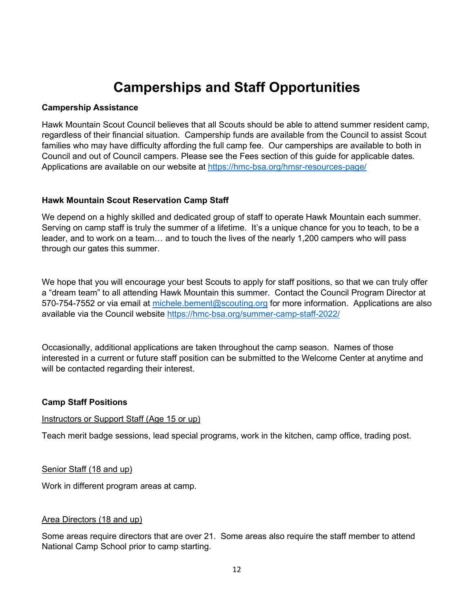### **Camperships and Staff Opportunities**

#### **Campership Assistance**

Hawk Mountain Scout Council believes that all Scouts should be able to attend summer resident camp, regardless of their financial situation. Campership funds are available from the Council to assist Scout families who may have difficulty affording the full camp fee. Our camperships are available to both in Council and out of Council campers. Please see the Fees section of this guide for applicable dates. Applications are available on our website at <https://hmc-bsa.org/hmsr-resources-page/>

#### **Hawk Mountain Scout Reservation Camp Staff**

We depend on a highly skilled and dedicated group of staff to operate Hawk Mountain each summer. Serving on camp staff is truly the summer of a lifetime. It's a unique chance for you to teach, to be a leader, and to work on a team… and to touch the lives of the nearly 1,200 campers who will pass through our gates this summer.

We hope that you will encourage your best Scouts to apply for staff positions, so that we can truly offer a "dream team" to all attending Hawk Mountain this summer. Contact the Council Program Director at 570-754-7552 or via email at [michele.bement@scouting.org](mailto:michele.bement@scouting.org) for more information. Applications are also available via the Council website <https://hmc-bsa.org/summer-camp-staff-2022/>

Occasionally, additional applications are taken throughout the camp season. Names of those interested in a current or future staff position can be submitted to the Welcome Center at anytime and will be contacted regarding their interest.

#### **Camp Staff Positions**

#### Instructors or Support Staff (Age 15 or up)

Teach merit badge sessions, lead special programs, work in the kitchen, camp office, trading post.

#### Senior Staff (18 and up)

Work in different program areas at camp.

#### Area Directors (18 and up)

Some areas require directors that are over 21. Some areas also require the staff member to attend National Camp School prior to camp starting.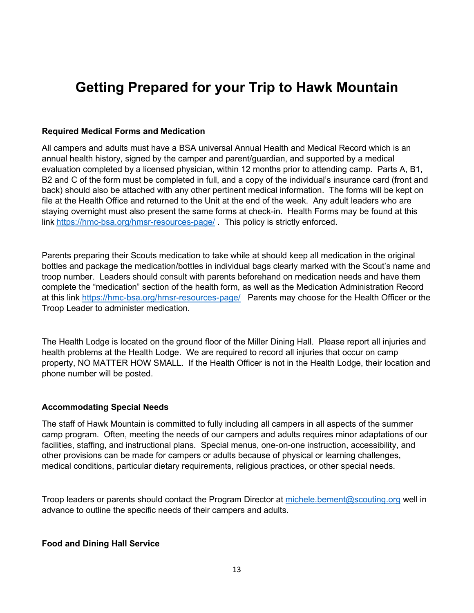### **Getting Prepared for your Trip to Hawk Mountain**

#### **Required Medical Forms and Medication**

All campers and adults must have a BSA universal Annual Health and Medical Record which is an annual health history, signed by the camper and parent/guardian, and supported by a medical evaluation completed by a licensed physician, within 12 months prior to attending camp. Parts A, B1, B2 and C of the form must be completed in full, and a copy of the individual's insurance card (front and back) should also be attached with any other pertinent medical information. The forms will be kept on file at the Health Office and returned to the Unit at the end of the week. Any adult leaders who are staying overnight must also present the same forms at check-in. Health Forms may be found at this link <https://hmc-bsa.org/hmsr-resources-page/> . This policy is strictly enforced.

Parents preparing their Scouts medication to take while at should keep all medication in the original bottles and package the medication/bottles in individual bags clearly marked with the Scout's name and troop number. Leaders should consult with parents beforehand on medication needs and have them complete the "medication" section of the health form, as well as the Medication Administration Record at this link<https://hmc-bsa.org/hmsr-resources-page/>Parents may choose for the Health Officer or the Troop Leader to administer medication.

The Health Lodge is located on the ground floor of the Miller Dining Hall. Please report all injuries and health problems at the Health Lodge. We are required to record all injuries that occur on camp property, NO MATTER HOW SMALL. If the Health Officer is not in the Health Lodge, their location and phone number will be posted.

#### **Accommodating Special Needs**

The staff of Hawk Mountain is committed to fully including all campers in all aspects of the summer camp program. Often, meeting the needs of our campers and adults requires minor adaptations of our facilities, staffing, and instructional plans. Special menus, one-on-one instruction, accessibility, and other provisions can be made for campers or adults because of physical or learning challenges, medical conditions, particular dietary requirements, religious practices, or other special needs.

Troop leaders or parents should contact the Program Director at [michele.bement@scouting.org](mailto:michele.bement@scouting.org) well in advance to outline the specific needs of their campers and adults.

#### **Food and Dining Hall Service**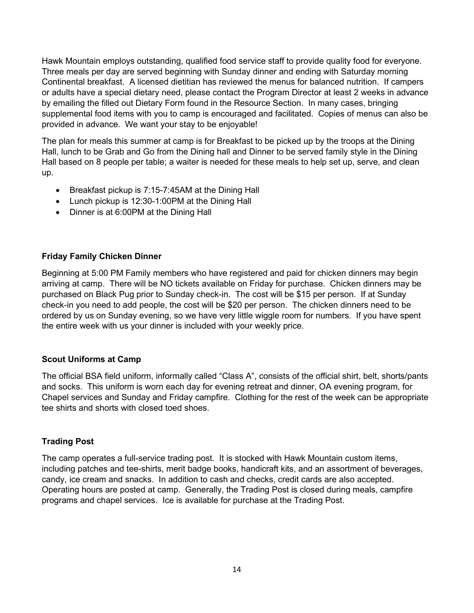Hawk Mountain employs outstanding, qualified food service staff to provide quality food for everyone. Three meals per day are served beginning with Sunday dinner and ending with Saturday morning Continental breakfast. A licensed dietitian has reviewed the menus for balanced nutrition. If campers or adults have a special dietary need, please contact the Program Director at least 2 weeks in advance by emailing the filled out Dietary Form found in the Resource Section. In many cases, bringing supplemental food items with you to camp is encouraged and facilitated. Copies of menus can also be provided in advance. We want your stay to be enjoyable!

The plan for meals this summer at camp is for Breakfast to be picked up by the troops at the Dining Hall, lunch to be Grab and Go from the Dining hall and Dinner to be served family style in the Dining Hall based on 8 people per table; a waiter is needed for these meals to help set up, serve, and clean up.

- Breakfast pickup is 7:15-7:45AM at the Dining Hall
- Lunch pickup is 12:30-1:00PM at the Dining Hall
- Dinner is at 6:00PM at the Dining Hall

#### **Friday Family Chicken Dinner**

Beginning at 5:00 PM Family members who have registered and paid for chicken dinners may begin arriving at camp. There will be NO tickets available on Friday for purchase. Chicken dinners may be purchased on Black Pug prior to Sunday check-in. The cost will be \$15 per person. If at Sunday check-in you need to add people, the cost will be \$20 per person. The chicken dinners need to be ordered by us on Sunday evening, so we have very little wiggle room for numbers. If you have spent the entire week with us your dinner is included with your weekly price.

#### **Scout Uniforms at Camp**

The official BSA field uniform, informally called "Class A", consists of the official shirt, belt, shorts/pants and socks. This uniform is worn each day for evening retreat and dinner, OA evening program, for Chapel services and Sunday and Friday campfire. Clothing for the rest of the week can be appropriate tee shirts and shorts with closed toed shoes.

#### **Trading Post**

The camp operates a full-service trading post. It is stocked with Hawk Mountain custom items, including patches and tee-shirts, merit badge books, handicraft kits, and an assortment of beverages, candy, ice cream and snacks. In addition to cash and checks, credit cards are also accepted. Operating hours are posted at camp. Generally, the Trading Post is closed during meals, campfire programs and chapel services. Ice is available for purchase at the Trading Post.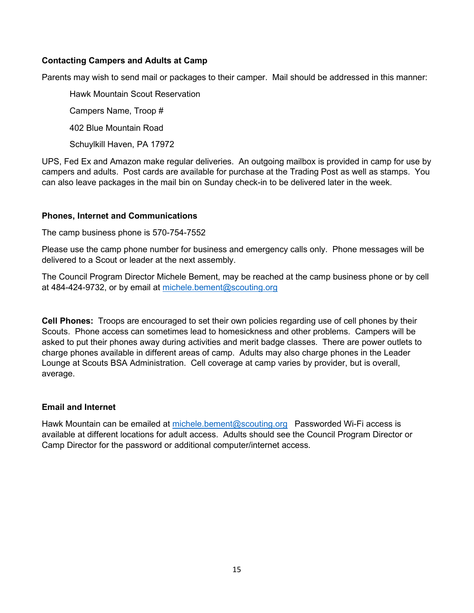#### **Contacting Campers and Adults at Camp**

Parents may wish to send mail or packages to their camper. Mail should be addressed in this manner:

Hawk Mountain Scout Reservation

Campers Name, Troop #

402 Blue Mountain Road

Schuylkill Haven, PA 17972

UPS, Fed Ex and Amazon make regular deliveries. An outgoing mailbox is provided in camp for use by campers and adults. Post cards are available for purchase at the Trading Post as well as stamps. You can also leave packages in the mail bin on Sunday check-in to be delivered later in the week.

#### **Phones, Internet and Communications**

The camp business phone is 570-754-7552

Please use the camp phone number for business and emergency calls only. Phone messages will be delivered to a Scout or leader at the next assembly.

The Council Program Director Michele Bement, may be reached at the camp business phone or by cell at 484-424-9732, or by email at [michele.bement@scouting.org](mailto:michele.bement@scouting.org)

**Cell Phones:** Troops are encouraged to set their own policies regarding use of cell phones by their Scouts. Phone access can sometimes lead to homesickness and other problems. Campers will be asked to put their phones away during activities and merit badge classes. There are power outlets to charge phones available in different areas of camp. Adults may also charge phones in the Leader Lounge at Scouts BSA Administration. Cell coverage at camp varies by provider, but is overall, average.

#### **Email and Internet**

Hawk Mountain can be emailed at [michele.bement@scouting.org](mailto:michele.bement@scouting.org) Passworded Wi-Fi access is available at different locations for adult access. Adults should see the Council Program Director or Camp Director for the password or additional computer/internet access.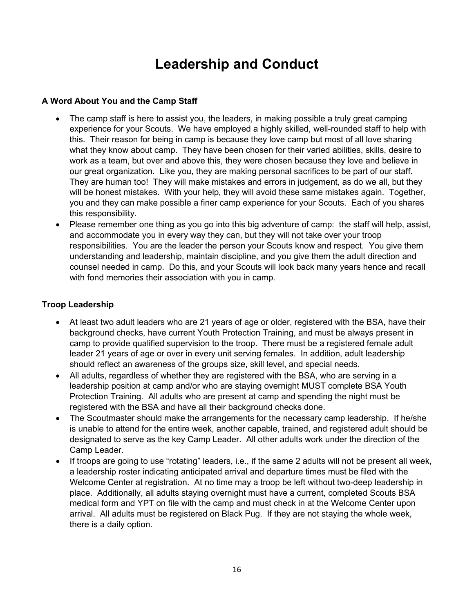### **Leadership and Conduct**

#### **A Word About You and the Camp Staff**

- The camp staff is here to assist you, the leaders, in making possible a truly great camping experience for your Scouts. We have employed a highly skilled, well-rounded staff to help with this. Their reason for being in camp is because they love camp but most of all love sharing what they know about camp. They have been chosen for their varied abilities, skills, desire to work as a team, but over and above this, they were chosen because they love and believe in our great organization. Like you, they are making personal sacrifices to be part of our staff. They are human too! They will make mistakes and errors in judgement, as do we all, but they will be honest mistakes. With your help, they will avoid these same mistakes again. Together, you and they can make possible a finer camp experience for your Scouts. Each of you shares this responsibility.
- Please remember one thing as you go into this big adventure of camp: the staff will help, assist, and accommodate you in every way they can, but they will not take over your troop responsibilities. You are the leader the person your Scouts know and respect. You give them understanding and leadership, maintain discipline, and you give them the adult direction and counsel needed in camp. Do this, and your Scouts will look back many years hence and recall with fond memories their association with you in camp.

#### **Troop Leadership**

- At least two adult leaders who are 21 years of age or older, registered with the BSA, have their background checks, have current Youth Protection Training, and must be always present in camp to provide qualified supervision to the troop. There must be a registered female adult leader 21 years of age or over in every unit serving females. In addition, adult leadership should reflect an awareness of the groups size, skill level, and special needs.
- All adults, regardless of whether they are registered with the BSA, who are serving in a leadership position at camp and/or who are staying overnight MUST complete BSA Youth Protection Training. All adults who are present at camp and spending the night must be registered with the BSA and have all their background checks done.
- The Scoutmaster should make the arrangements for the necessary camp leadership. If he/she is unable to attend for the entire week, another capable, trained, and registered adult should be designated to serve as the key Camp Leader. All other adults work under the direction of the Camp Leader.
- If troops are going to use "rotating" leaders, i.e., if the same 2 adults will not be present all week, a leadership roster indicating anticipated arrival and departure times must be filed with the Welcome Center at registration. At no time may a troop be left without two-deep leadership in place. Additionally, all adults staying overnight must have a current, completed Scouts BSA medical form and YPT on file with the camp and must check in at the Welcome Center upon arrival. All adults must be registered on Black Pug. If they are not staying the whole week, there is a daily option.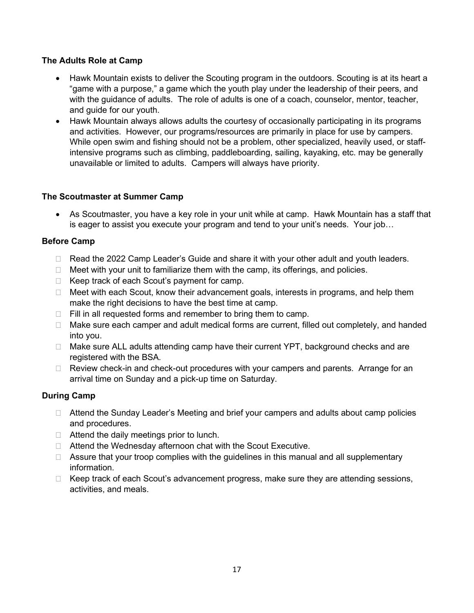#### **The Adults Role at Camp**

- Hawk Mountain exists to deliver the Scouting program in the outdoors. Scouting is at its heart a "game with a purpose," a game which the youth play under the leadership of their peers, and with the guidance of adults. The role of adults is one of a coach, counselor, mentor, teacher, and guide for our youth.
- Hawk Mountain always allows adults the courtesy of occasionally participating in its programs and activities. However, our programs/resources are primarily in place for use by campers. While open swim and fishing should not be a problem, other specialized, heavily used, or staffintensive programs such as climbing, paddleboarding, sailing, kayaking, etc. may be generally unavailable or limited to adults. Campers will always have priority.

#### **The Scoutmaster at Summer Camp**

• As Scoutmaster, you have a key role in your unit while at camp. Hawk Mountain has a staff that is eager to assist you execute your program and tend to your unit's needs. Your job…

#### **Before Camp**

- □ Read the 2022 Camp Leader's Guide and share it with your other adult and youth leaders.
- $\Box$  Meet with your unit to familiarize them with the camp, its offerings, and policies.
- $\Box$  Keep track of each Scout's payment for camp.
- $\Box$  Meet with each Scout, know their advancement goals, interests in programs, and help them make the right decisions to have the best time at camp.
- $\Box$  Fill in all requested forms and remember to bring them to camp.
- $\Box$  Make sure each camper and adult medical forms are current, filled out completely, and handed into you.
- $\Box$  Make sure ALL adults attending camp have their current YPT, background checks and are registered with the BSA.
- $\Box$  Review check-in and check-out procedures with your campers and parents. Arrange for an arrival time on Sunday and a pick-up time on Saturday.

#### **During Camp**

- □ Attend the Sunday Leader's Meeting and brief your campers and adults about camp policies and procedures.
- $\Box$  Attend the daily meetings prior to lunch.
- □ Attend the Wednesday afternoon chat with the Scout Executive.
- $\Box$  Assure that your troop complies with the quidelines in this manual and all supplementary information.
- $\Box$  Keep track of each Scout's advancement progress, make sure they are attending sessions, activities, and meals.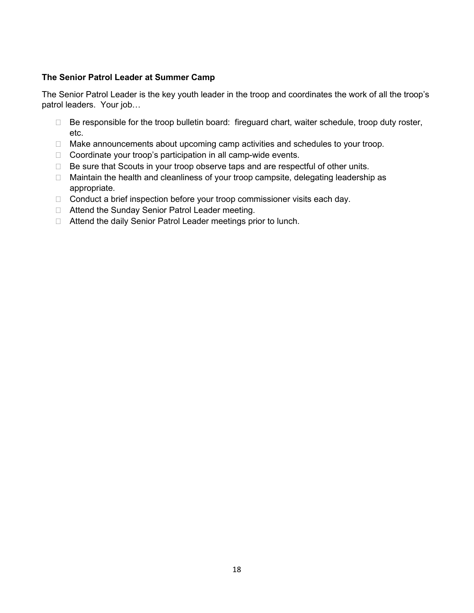#### **The Senior Patrol Leader at Summer Camp**

The Senior Patrol Leader is the key youth leader in the troop and coordinates the work of all the troop's patrol leaders. Your job…

- $\Box$  Be responsible for the troop bulletin board: fireguard chart, waiter schedule, troop duty roster, etc.
- □ Make announcements about upcoming camp activities and schedules to your troop.
- □ Coordinate your troop's participation in all camp-wide events.
- $\Box$  Be sure that Scouts in your troop observe taps and are respectful of other units.
- □ Maintain the health and cleanliness of your troop campsite, delegating leadership as appropriate.
- □ Conduct a brief inspection before your troop commissioner visits each day.
- □ Attend the Sunday Senior Patrol Leader meeting.
- □ Attend the daily Senior Patrol Leader meetings prior to lunch.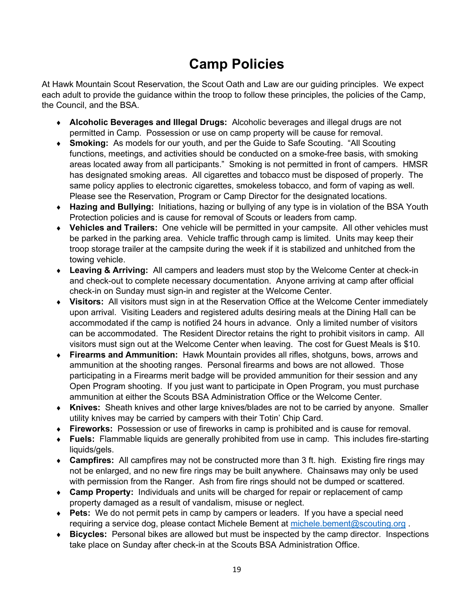### **Camp Policies**

At Hawk Mountain Scout Reservation, the Scout Oath and Law are our guiding principles. We expect each adult to provide the guidance within the troop to follow these principles, the policies of the Camp, the Council, and the BSA.

- ♦ **Alcoholic Beverages and Illegal Drugs:** Alcoholic beverages and illegal drugs are not permitted in Camp. Possession or use on camp property will be cause for removal.
- ♦ **Smoking:** As models for our youth, and per the Guide to Safe Scouting. "All Scouting functions, meetings, and activities should be conducted on a smoke-free basis, with smoking areas located away from all participants." Smoking is not permitted in front of campers. HMSR has designated smoking areas. All cigarettes and tobacco must be disposed of properly. The same policy applies to electronic cigarettes, smokeless tobacco, and form of vaping as well. Please see the Reservation, Program or Camp Director for the designated locations.
- ♦ **Hazing and Bullying:** Initiations, hazing or bullying of any type is in violation of the BSA Youth Protection policies and is cause for removal of Scouts or leaders from camp.
- ♦ **Vehicles and Trailers:** One vehicle will be permitted in your campsite. All other vehicles must be parked in the parking area. Vehicle traffic through camp is limited. Units may keep their troop storage trailer at the campsite during the week if it is stabilized and unhitched from the towing vehicle.
- ♦ **Leaving & Arriving:** All campers and leaders must stop by the Welcome Center at check-in and check-out to complete necessary documentation. Anyone arriving at camp after official check-in on Sunday must sign-in and register at the Welcome Center.
- ♦ **Visitors:** All visitors must sign in at the Reservation Office at the Welcome Center immediately upon arrival. Visiting Leaders and registered adults desiring meals at the Dining Hall can be accommodated if the camp is notified 24 hours in advance. Only a limited number of visitors can be accommodated. The Resident Director retains the right to prohibit visitors in camp. All visitors must sign out at the Welcome Center when leaving. The cost for Guest Meals is \$10.
- ♦ **Firearms and Ammunition:** Hawk Mountain provides all rifles, shotguns, bows, arrows and ammunition at the shooting ranges. Personal firearms and bows are not allowed. Those participating in a Firearms merit badge will be provided ammunition for their session and any Open Program shooting. If you just want to participate in Open Program, you must purchase ammunition at either the Scouts BSA Administration Office or the Welcome Center.
- ♦ **Knives:** Sheath knives and other large knives/blades are not to be carried by anyone. Smaller utility knives may be carried by campers with their Totin' Chip Card.
- ♦ **Fireworks:** Possession or use of fireworks in camp is prohibited and is cause for removal.
- ♦ **Fuels:** Flammable liquids are generally prohibited from use in camp. This includes fire-starting liquids/gels.
- ♦ **Campfires:** All campfires may not be constructed more than 3 ft. high. Existing fire rings may not be enlarged, and no new fire rings may be built anywhere. Chainsaws may only be used with permission from the Ranger. Ash from fire rings should not be dumped or scattered.
- ♦ **Camp Property:** Individuals and units will be charged for repair or replacement of camp property damaged as a result of vandalism, misuse or neglect.
- ♦ **Pets:** We do not permit pets in camp by campers or leaders. If you have a special need requiring a service dog, please contact Michele Bement at michele bement@scouting.org.
- ♦ **Bicycles:** Personal bikes are allowed but must be inspected by the camp director. Inspections take place on Sunday after check-in at the Scouts BSA Administration Office.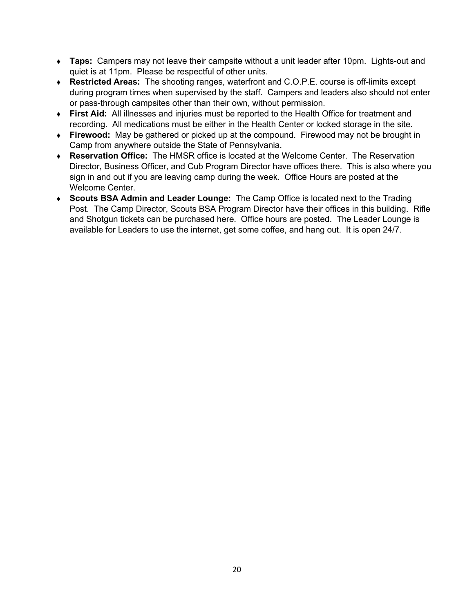- ♦ **Taps:** Campers may not leave their campsite without a unit leader after 10pm. Lights-out and quiet is at 11pm. Please be respectful of other units.
- ♦ **Restricted Areas:** The shooting ranges, waterfront and C.O.P.E. course is off-limits except during program times when supervised by the staff. Campers and leaders also should not enter or pass-through campsites other than their own, without permission.
- ♦ **First Aid:** All illnesses and injuries must be reported to the Health Office for treatment and recording. All medications must be either in the Health Center or locked storage in the site.
- ♦ **Firewood:** May be gathered or picked up at the compound. Firewood may not be brought in Camp from anywhere outside the State of Pennsylvania.
- ♦ **Reservation Office:** The HMSR office is located at the Welcome Center. The Reservation Director, Business Officer, and Cub Program Director have offices there. This is also where you sign in and out if you are leaving camp during the week. Office Hours are posted at the Welcome Center.
- ♦ **Scouts BSA Admin and Leader Lounge:** The Camp Office is located next to the Trading Post. The Camp Director, Scouts BSA Program Director have their offices in this building. Rifle and Shotgun tickets can be purchased here. Office hours are posted. The Leader Lounge is available for Leaders to use the internet, get some coffee, and hang out. It is open 24/7.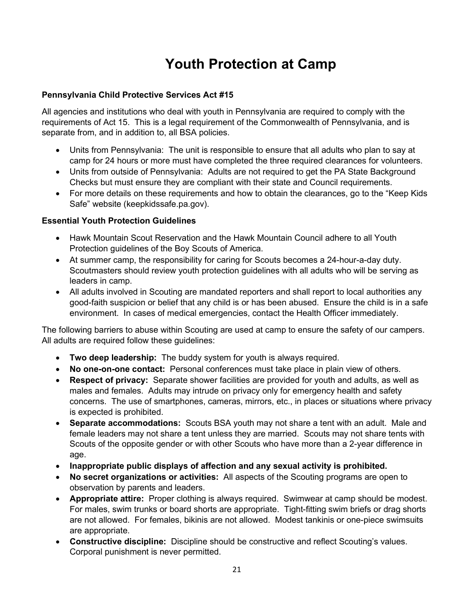### **Youth Protection at Camp**

#### **Pennsylvania Child Protective Services Act #15**

All agencies and institutions who deal with youth in Pennsylvania are required to comply with the requirements of Act 15. This is a legal requirement of the Commonwealth of Pennsylvania, and is separate from, and in addition to, all BSA policies.

- Units from Pennsylvania: The unit is responsible to ensure that all adults who plan to say at camp for 24 hours or more must have completed the three required clearances for volunteers.
- Units from outside of Pennsylvania: Adults are not required to get the PA State Background Checks but must ensure they are compliant with their state and Council requirements.
- For more details on these requirements and how to obtain the clearances, go to the "Keep Kids Safe" website (keepkidssafe.pa.gov).

#### **Essential Youth Protection Guidelines**

- Hawk Mountain Scout Reservation and the Hawk Mountain Council adhere to all Youth Protection guidelines of the Boy Scouts of America.
- At summer camp, the responsibility for caring for Scouts becomes a 24-hour-a-day duty. Scoutmasters should review youth protection guidelines with all adults who will be serving as leaders in camp.
- All adults involved in Scouting are mandated reporters and shall report to local authorities any good-faith suspicion or belief that any child is or has been abused. Ensure the child is in a safe environment. In cases of medical emergencies, contact the Health Officer immediately.

The following barriers to abuse within Scouting are used at camp to ensure the safety of our campers. All adults are required follow these guidelines:

- **Two deep leadership:** The buddy system for youth is always required.
- **No one-on-one contact:** Personal conferences must take place in plain view of others.
- **Respect of privacy:** Separate shower facilities are provided for youth and adults, as well as males and females. Adults may intrude on privacy only for emergency health and safety concerns. The use of smartphones, cameras, mirrors, etc., in places or situations where privacy is expected is prohibited.
- **Separate accommodations:** Scouts BSA youth may not share a tent with an adult. Male and female leaders may not share a tent unless they are married. Scouts may not share tents with Scouts of the opposite gender or with other Scouts who have more than a 2-year difference in age.
- **Inappropriate public displays of affection and any sexual activity is prohibited.**
- **No secret organizations or activities:** All aspects of the Scouting programs are open to observation by parents and leaders.
- **Appropriate attire:** Proper clothing is always required. Swimwear at camp should be modest. For males, swim trunks or board shorts are appropriate. Tight-fitting swim briefs or drag shorts are not allowed. For females, bikinis are not allowed. Modest tankinis or one-piece swimsuits are appropriate.
- **Constructive discipline:** Discipline should be constructive and reflect Scouting's values. Corporal punishment is never permitted.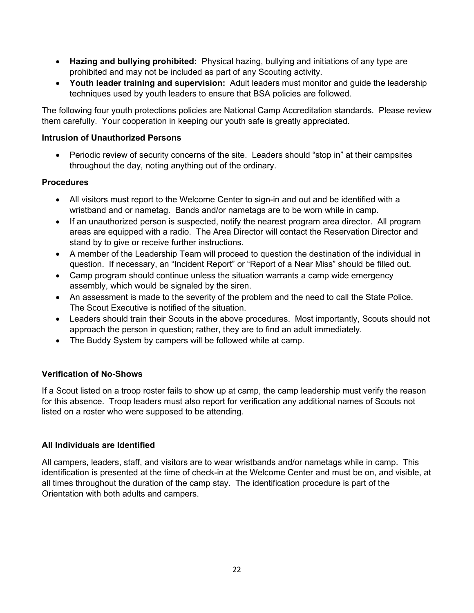- **Hazing and bullying prohibited:** Physical hazing, bullying and initiations of any type are prohibited and may not be included as part of any Scouting activity.
- **Youth leader training and supervision:** Adult leaders must monitor and guide the leadership techniques used by youth leaders to ensure that BSA policies are followed.

The following four youth protections policies are National Camp Accreditation standards. Please review them carefully. Your cooperation in keeping our youth safe is greatly appreciated.

#### **Intrusion of Unauthorized Persons**

• Periodic review of security concerns of the site. Leaders should "stop in" at their campsites throughout the day, noting anything out of the ordinary.

#### **Procedures**

- All visitors must report to the Welcome Center to sign-in and out and be identified with a wristband and or nametag. Bands and/or nametags are to be worn while in camp.
- If an unauthorized person is suspected, notify the nearest program area director. All program areas are equipped with a radio. The Area Director will contact the Reservation Director and stand by to give or receive further instructions.
- A member of the Leadership Team will proceed to question the destination of the individual in question. If necessary, an "Incident Report" or "Report of a Near Miss" should be filled out.
- Camp program should continue unless the situation warrants a camp wide emergency assembly, which would be signaled by the siren.
- An assessment is made to the severity of the problem and the need to call the State Police. The Scout Executive is notified of the situation.
- Leaders should train their Scouts in the above procedures. Most importantly, Scouts should not approach the person in question; rather, they are to find an adult immediately.
- The Buddy System by campers will be followed while at camp.

#### **Verification of No-Shows**

If a Scout listed on a troop roster fails to show up at camp, the camp leadership must verify the reason for this absence. Troop leaders must also report for verification any additional names of Scouts not listed on a roster who were supposed to be attending.

#### **All Individuals are Identified**

All campers, leaders, staff, and visitors are to wear wristbands and/or nametags while in camp. This identification is presented at the time of check-in at the Welcome Center and must be on, and visible, at all times throughout the duration of the camp stay. The identification procedure is part of the Orientation with both adults and campers.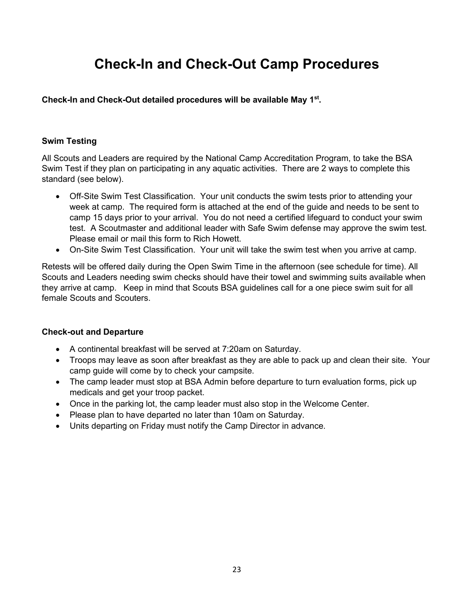### **Check-In and Check-Out Camp Procedures**

**Check-In and Check-Out detailed procedures will be available May 1st.**

#### **Swim Testing**

All Scouts and Leaders are required by the National Camp Accreditation Program, to take the BSA Swim Test if they plan on participating in any aquatic activities. There are 2 ways to complete this standard (see below).

- Off-Site Swim Test Classification. Your unit conducts the swim tests prior to attending your week at camp. The required form is attached at the end of the guide and needs to be sent to camp 15 days prior to your arrival. You do not need a certified lifeguard to conduct your swim test. A Scoutmaster and additional leader with Safe Swim defense may approve the swim test. Please email or mail this form to Rich Howett.
- On-Site Swim Test Classification. Your unit will take the swim test when you arrive at camp.

Retests will be offered daily during the Open Swim Time in the afternoon (see schedule for time). All Scouts and Leaders needing swim checks should have their towel and swimming suits available when they arrive at camp. Keep in mind that Scouts BSA guidelines call for a one piece swim suit for all female Scouts and Scouters.

#### **Check-out and Departure**

- A continental breakfast will be served at 7:20am on Saturday.
- Troops may leave as soon after breakfast as they are able to pack up and clean their site. Your camp guide will come by to check your campsite.
- The camp leader must stop at BSA Admin before departure to turn evaluation forms, pick up medicals and get your troop packet.
- Once in the parking lot, the camp leader must also stop in the Welcome Center.
- Please plan to have departed no later than 10am on Saturday.
- Units departing on Friday must notify the Camp Director in advance.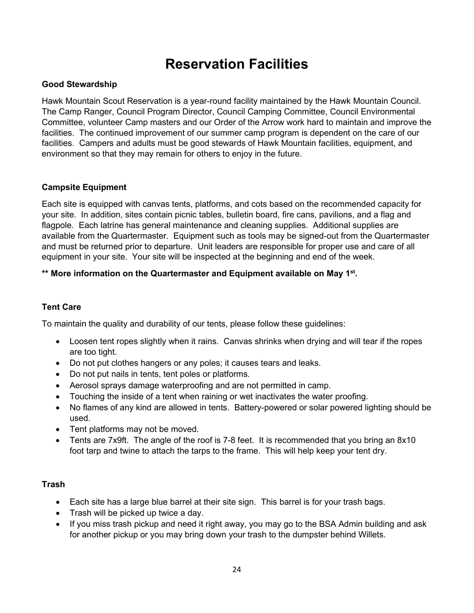### **Reservation Facilities**

#### **Good Stewardship**

Hawk Mountain Scout Reservation is a year-round facility maintained by the Hawk Mountain Council. The Camp Ranger, Council Program Director, Council Camping Committee, Council Environmental Committee, volunteer Camp masters and our Order of the Arrow work hard to maintain and improve the facilities. The continued improvement of our summer camp program is dependent on the care of our facilities. Campers and adults must be good stewards of Hawk Mountain facilities, equipment, and environment so that they may remain for others to enjoy in the future.

#### **Campsite Equipment**

Each site is equipped with canvas tents, platforms, and cots based on the recommended capacity for your site. In addition, sites contain picnic tables, bulletin board, fire cans, pavilions, and a flag and flagpole. Each latrine has general maintenance and cleaning supplies. Additional supplies are available from the Quartermaster. Equipment such as tools may be signed-out from the Quartermaster and must be returned prior to departure. Unit leaders are responsible for proper use and care of all equipment in your site. Your site will be inspected at the beginning and end of the week.

#### **\*\* More information on the Quartermaster and Equipment available on May 1st.**

#### **Tent Care**

To maintain the quality and durability of our tents, please follow these guidelines:

- Loosen tent ropes slightly when it rains. Canvas shrinks when drying and will tear if the ropes are too tight.
- Do not put clothes hangers or any poles; it causes tears and leaks.
- Do not put nails in tents, tent poles or platforms.
- Aerosol sprays damage waterproofing and are not permitted in camp.
- Touching the inside of a tent when raining or wet inactivates the water proofing.
- No flames of any kind are allowed in tents. Battery-powered or solar powered lighting should be used.
- Tent platforms may not be moved.
- Tents are 7x9ft. The angle of the roof is 7-8 feet. It is recommended that you bring an 8x10 foot tarp and twine to attach the tarps to the frame. This will help keep your tent dry.

#### **Trash**

- Each site has a large blue barrel at their site sign. This barrel is for your trash bags.
- Trash will be picked up twice a day.
- If you miss trash pickup and need it right away, you may go to the BSA Admin building and ask for another pickup or you may bring down your trash to the dumpster behind Willets.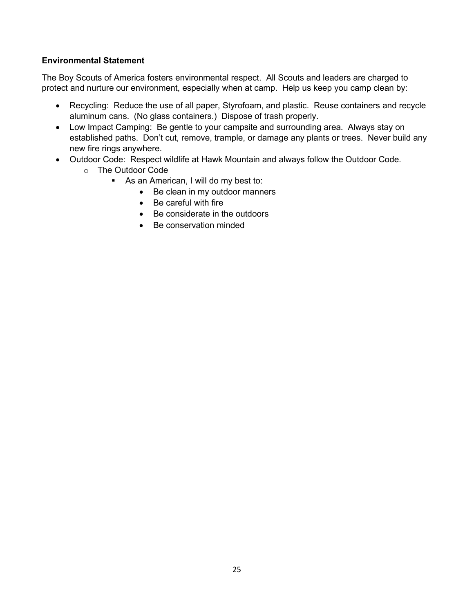#### **Environmental Statement**

The Boy Scouts of America fosters environmental respect. All Scouts and leaders are charged to protect and nurture our environment, especially when at camp. Help us keep you camp clean by:

- Recycling: Reduce the use of all paper, Styrofoam, and plastic. Reuse containers and recycle aluminum cans. (No glass containers.) Dispose of trash properly.
- Low Impact Camping: Be gentle to your campsite and surrounding area. Always stay on established paths. Don't cut, remove, trample, or damage any plants or trees. Never build any new fire rings anywhere.
- Outdoor Code: Respect wildlife at Hawk Mountain and always follow the Outdoor Code.
	- o The Outdoor Code
		- As an American, I will do my best to:
			- Be clean in my outdoor manners
			- Be careful with fire
			- Be considerate in the outdoors
			- Be conservation minded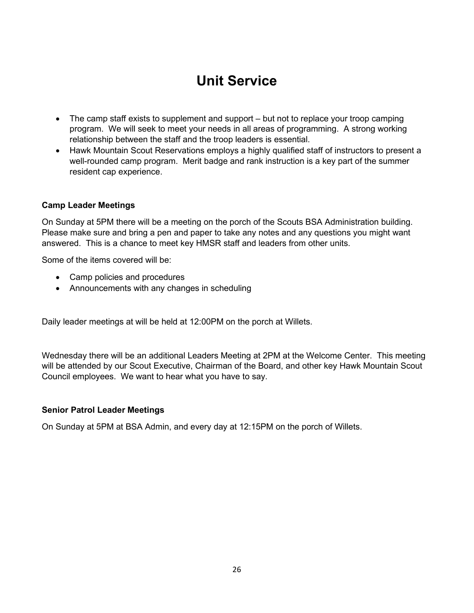### **Unit Service**

- The camp staff exists to supplement and support but not to replace your troop camping program. We will seek to meet your needs in all areas of programming. A strong working relationship between the staff and the troop leaders is essential.
- Hawk Mountain Scout Reservations employs a highly qualified staff of instructors to present a well-rounded camp program. Merit badge and rank instruction is a key part of the summer resident cap experience.

#### **Camp Leader Meetings**

On Sunday at 5PM there will be a meeting on the porch of the Scouts BSA Administration building. Please make sure and bring a pen and paper to take any notes and any questions you might want answered. This is a chance to meet key HMSR staff and leaders from other units.

Some of the items covered will be:

- Camp policies and procedures
- Announcements with any changes in scheduling

Daily leader meetings at will be held at 12:00PM on the porch at Willets.

Wednesday there will be an additional Leaders Meeting at 2PM at the Welcome Center. This meeting will be attended by our Scout Executive, Chairman of the Board, and other key Hawk Mountain Scout Council employees. We want to hear what you have to say.

#### **Senior Patrol Leader Meetings**

On Sunday at 5PM at BSA Admin, and every day at 12:15PM on the porch of Willets.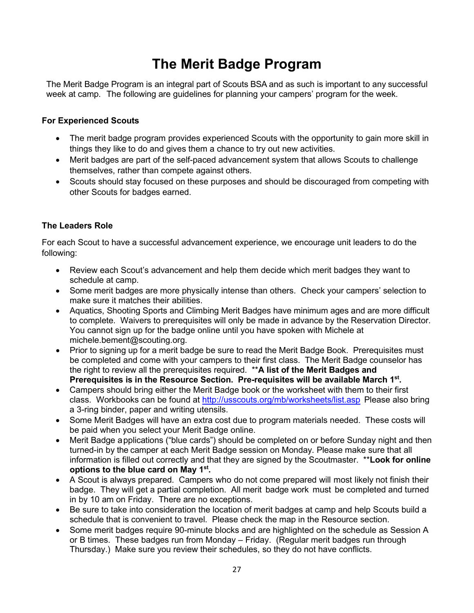### **The Merit Badge Program**

The Merit Badge Program is an integral part of Scouts BSA and as such is important to any successful week at camp. The following are guidelines for planning your campers' program for the week.

#### **For Experienced Scouts**

- The merit badge program provides experienced Scouts with the opportunity to gain more skill in things they like to do and gives them a chance to try out new activities.
- Merit badges are part of the self-paced advancement system that allows Scouts to challenge themselves, rather than compete against others.
- Scouts should stay focused on these purposes and should be discouraged from competing with other Scouts for badges earned.

#### **The Leaders Role**

For each Scout to have a successful advancement experience, we encourage unit leaders to do the following:

- Review each Scout's advancement and help them decide which merit badges they want to schedule at camp.
- Some merit badges are more physically intense than others. Check your campers' selection to make sure it matches their abilities.
- Aquatics, Shooting Sports and Climbing Merit Badges have minimum ages and are more difficult to complete. Waivers to prerequisites will only be made in advance by the Reservation Director. You cannot sign up for the badge online until you have spoken with Michele at michele.bement@scouting.org.
- Prior to signing up for a merit badge be sure to read the Merit Badge Book. Prerequisites must be completed and come with your campers to their first class. The Merit Badge counselor has the right to review all the prerequisites required. \*\***A list of the Merit Badges and Prerequisites is in the Resource Section. Pre-requisites will be available March 1st.**
- Campers should bring either the Merit Badge book or the worksheet with them to their first class. Workbooks can be found at<http://usscouts.org/mb/worksheets/list.asp> Please also bring a 3-ring binder, paper and writing utensils.
- Some Merit Badges will have an extra cost due to program materials needed. These costs will be paid when you select your Merit Badge online.
- Merit Badge applications ("blue cards") should be completed on or before Sunday night and then turned-in by the camper at each Merit Badge session on Monday. Please make sure that all information is filled out correctly and that they are signed by the Scoutmaster. \*\***Look for online options to the blue card on May 1st.**
- A Scout is always prepared. Campers who do not come prepared will most likely not finish their badge. They will get a partial completion. All merit badge work must be completed and turned in by 10 am on Friday. There are no exceptions.
- Be sure to take into consideration the location of merit badges at camp and help Scouts build a schedule that is convenient to travel. Please check the map in the Resource section.
- Some merit badges require 90-minute blocks and are highlighted on the schedule as Session A or B times. These badges run from Monday – Friday. (Regular merit badges run through Thursday.) Make sure you review their schedules, so they do not have conflicts.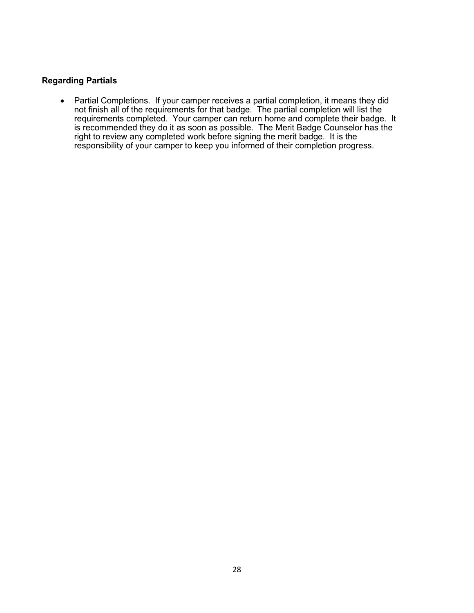#### **Regarding Partials**

• Partial Completions. If your camper receives a partial completion, it means they did not finish all of the requirements for that badge. The partial completion will list the requirements completed. Your camper can return home and complete their badge. It is recommended they do it as soon as possible. The Merit Badge Counselor has the right to review any completed work before signing the merit badge. It is the responsibility of your camper to keep you informed of their completion progress.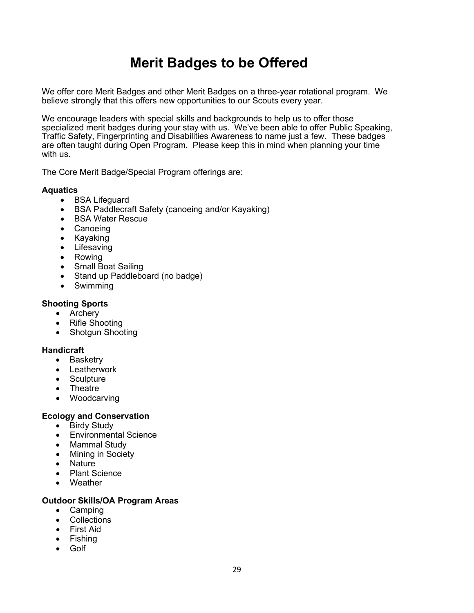### **Merit Badges to be Offered**

We offer core Merit Badges and other Merit Badges on a three-year rotational program. We believe strongly that this offers new opportunities to our Scouts every year.

We encourage leaders with special skills and backgrounds to help us to offer those specialized merit badges during your stay with us. We've been able to offer Public Speaking, Traffic Safety, Fingerprinting and Disabilities Awareness to name just a few. These badges are often taught during Open Program. Please keep this in mind when planning your time with us.

The Core Merit Badge/Special Program offerings are:

#### **Aquatics**

- BSA Lifeguard
- BSA Paddlecraft Safety (canoeing and/or Kayaking)
- BSA Water Rescue
- Canoeing
- Kayaking
- Lifesaving
- Rowing
- Small Boat Sailing
- Stand up Paddleboard (no badge)
- Swimming

#### **Shooting Sports**

- Archery
- Rifle Shooting
- Shotgun Shooting

#### **Handicraft**

- Basketry
- Leatherwork
- Sculpture
- Theatre
- Woodcarving

#### **Ecology and Conservation**

- Birdy Study
- Environmental Science
- Mammal Study
- Mining in Society
- Nature
- Plant Science
- Weather

#### **Outdoor Skills/OA Program Areas**

- Camping
- Collections
- First Aid
- Fishing
- Golf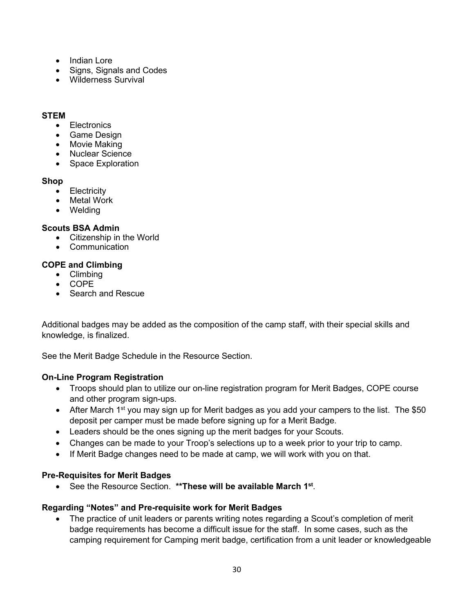- Indian Lore
- Signs, Signals and Codes
- Wilderness Survival

#### **STEM**

- Electronics
- Game Design
- Movie Making
- Nuclear Science
- Space Exploration

#### **Shop**

- Electricity
- Metal Work
- Welding

#### **Scouts BSA Admin**

- Citizenship in the World
- Communication

#### **COPE and Climbing**

- Climbing
- COPE
- Search and Rescue

Additional badges may be added as the composition of the camp staff, with their special skills and knowledge, is finalized.

See the Merit Badge Schedule in the Resource Section.

#### **On-Line Program Registration**

- Troops should plan to utilize our on-line registration program for Merit Badges, COPE course and other program sign-ups.
- After March 1<sup>st</sup> you may sign up for Merit badges as you add your campers to the list. The \$50 deposit per camper must be made before signing up for a Merit Badge.
- Leaders should be the ones signing up the merit badges for your Scouts.
- Changes can be made to your Troop's selections up to a week prior to your trip to camp.
- If Merit Badge changes need to be made at camp, we will work with you on that.

#### **Pre-Requisites for Merit Badges**

• See the Resource Section. **\*\*These will be available March 1st**.

#### **Regarding "Notes" and Pre-requisite work for Merit Badges**

• The practice of unit leaders or parents writing notes regarding a Scout's completion of merit badge requirements has become a difficult issue for the staff. In some cases, such as the camping requirement for Camping merit badge, certification from a unit leader or knowledgeable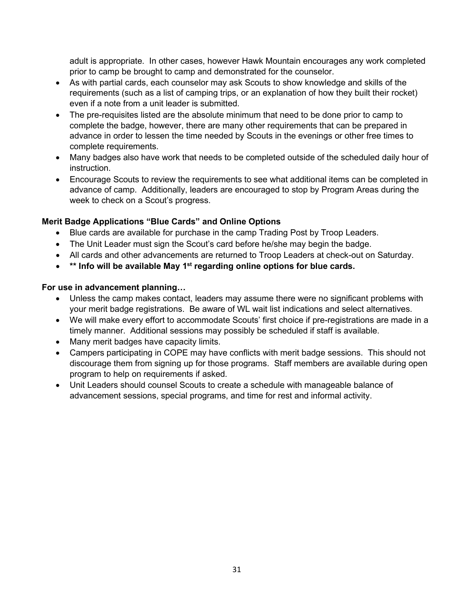adult is appropriate. In other cases, however Hawk Mountain encourages any work completed prior to camp be brought to camp and demonstrated for the counselor.

- As with partial cards, each counselor may ask Scouts to show knowledge and skills of the requirements (such as a list of camping trips, or an explanation of how they built their rocket) even if a note from a unit leader is submitted.
- The pre-requisites listed are the absolute minimum that need to be done prior to camp to complete the badge, however, there are many other requirements that can be prepared in advance in order to lessen the time needed by Scouts in the evenings or other free times to complete requirements.
- Many badges also have work that needs to be completed outside of the scheduled daily hour of instruction.
- Encourage Scouts to review the requirements to see what additional items can be completed in advance of camp. Additionally, leaders are encouraged to stop by Program Areas during the week to check on a Scout's progress.

#### **Merit Badge Applications "Blue Cards" and Online Options**

- Blue cards are available for purchase in the camp Trading Post by Troop Leaders.
- The Unit Leader must sign the Scout's card before he/she may begin the badge.
- All cards and other advancements are returned to Troop Leaders at check-out on Saturday.
- **\*\* Info will be available May 1st regarding online options for blue cards.**

#### **For use in advancement planning…**

- Unless the camp makes contact, leaders may assume there were no significant problems with your merit badge registrations. Be aware of WL wait list indications and select alternatives.
- We will make every effort to accommodate Scouts' first choice if pre-registrations are made in a timely manner. Additional sessions may possibly be scheduled if staff is available.
- Many merit badges have capacity limits.
- Campers participating in COPE may have conflicts with merit badge sessions. This should not discourage them from signing up for those programs. Staff members are available during open program to help on requirements if asked.
- Unit Leaders should counsel Scouts to create a schedule with manageable balance of advancement sessions, special programs, and time for rest and informal activity.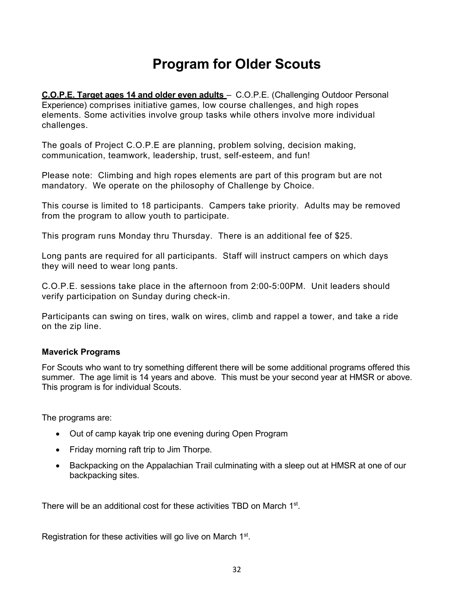### **Program for Older Scouts**

**C.O.P.E. Target ages 14 and older even adults** – C.O.P.E. (Challenging Outdoor Personal Experience) comprises initiative games, low course challenges, and high ropes elements. Some activities involve group tasks while others involve more individual challenges.

The goals of Project C.O.P.E are planning, problem solving, decision making, communication, teamwork, leadership, trust, self-esteem, and fun!

Please note: Climbing and high ropes elements are part of this program but are not mandatory. We operate on the philosophy of Challenge by Choice.

This course is limited to 18 participants. Campers take priority. Adults may be removed from the program to allow youth to participate.

This program runs Monday thru Thursday. There is an additional fee of \$25.

Long pants are required for all participants. Staff will instruct campers on which days they will need to wear long pants.

C.O.P.E. sessions take place in the afternoon from 2:00-5:00PM. Unit leaders should verify participation on Sunday during check-in.

Participants can swing on tires, walk on wires, climb and rappel a tower, and take a ride on the zip line.

#### **Maverick Programs**

For Scouts who want to try something different there will be some additional programs offered this summer. The age limit is 14 years and above. This must be your second year at HMSR or above. This program is for individual Scouts.

The programs are:

- Out of camp kayak trip one evening during Open Program
- Friday morning raft trip to Jim Thorpe.
- Backpacking on the Appalachian Trail culminating with a sleep out at HMSR at one of our backpacking sites.

There will be an additional cost for these activities TBD on March 1<sup>st</sup>.

Registration for these activities will go live on March 1<sup>st</sup>.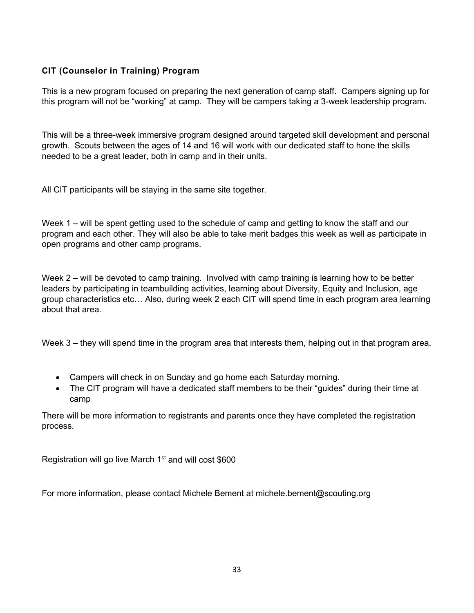#### **CIT (Counselor in Training) Program**

This is a new program focused on preparing the next generation of camp staff. Campers signing up for this program will not be "working" at camp. They will be campers taking a 3-week leadership program.

This will be a three-week immersive program designed around targeted skill development and personal growth. Scouts between the ages of 14 and 16 will work with our dedicated staff to hone the skills needed to be a great leader, both in camp and in their units.

All CIT participants will be staying in the same site together.

Week 1 – will be spent getting used to the schedule of camp and getting to know the staff and our program and each other. They will also be able to take merit badges this week as well as participate in open programs and other camp programs.

Week 2 – will be devoted to camp training. Involved with camp training is learning how to be better leaders by participating in teambuilding activities, learning about Diversity, Equity and Inclusion, age group characteristics etc… Also, during week 2 each CIT will spend time in each program area learning about that area.

Week 3 – they will spend time in the program area that interests them, helping out in that program area.

- Campers will check in on Sunday and go home each Saturday morning.
- The CIT program will have a dedicated staff members to be their "guides" during their time at camp

There will be more information to registrants and parents once they have completed the registration process.

Registration will go live March  $1<sup>st</sup>$  and will cost \$600

For more information, please contact Michele Bement at michele.bement@scouting.org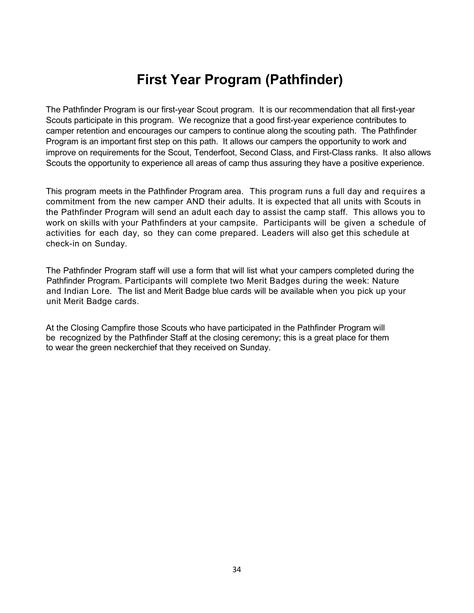### **First Year Program (Pathfinder)**

The Pathfinder Program is our first-year Scout program. It is our recommendation that all first-year Scouts participate in this program. We recognize that a good first-year experience contributes to camper retention and encourages our campers to continue along the scouting path. The Pathfinder Program is an important first step on this path. It allows our campers the opportunity to work and improve on requirements for the Scout, Tenderfoot, Second Class, and First-Class ranks. It also allows Scouts the opportunity to experience all areas of camp thus assuring they have a positive experience.

This program meets in the Pathfinder Program area. This program runs a full day and requires a commitment from the new camper AND their adults. It is expected that all units with Scouts in the Pathfinder Program will send an adult each day to assist the camp staff. This allows you to work on skills with your Pathfinders at your campsite. Participants will be given a schedule of activities for each day, so they can come prepared. Leaders will also get this schedule at check-in on Sunday.

The Pathfinder Program staff will use a form that will list what your campers completed during the Pathfinder Program. Participants will complete two Merit Badges during the week: Nature and Indian Lore. The list and Merit Badge blue cards will be available when you pick up your unit Merit Badge cards.

At the Closing Campfire those Scouts who have participated in the Pathfinder Program will be recognized by the Pathfinder Staff at the closing ceremony; this is a great place for them to wear the green neckerchief that they received on Sunday.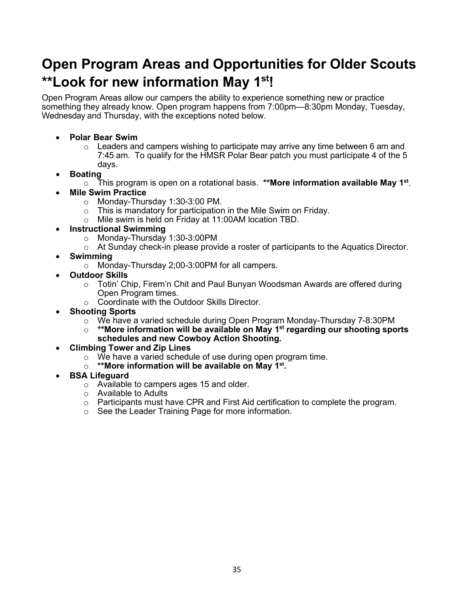### **Open Program Areas and Opportunities for Older Scouts \*\*Look for new information May 1st!**

Open Program Areas allow our campers the ability to experience something new or practice something they already know. Open program happens from 7:00pm—8:30pm Monday, Tuesday, Wednesday and Thursday, with the exceptions noted below.

- **Polar Bear Swim**
	- $\circ$  Leaders and campers wishing to participate may arrive any time between 6 am and 7:45 am. To qualify for the HMSR Polar Bear patch you must participate 4 of the 5 days.
- **Boating**
	- o This program is open on a rotational basis. **\*\*More information available May 1st**.
- **Mile Swim Practice**
	- o Monday-Thursday 1:30-3:00 PM.
	- $\circ$  This is mandatory for participation in the Mile Swim on Friday.
	- o Mile swim is held on Friday at 11:00AM location TBD.
- **Instructional Swimming**
	- o Monday-Thursday 1:30-3:00PM
	- $\circ$  At Sunday check-in please provide a roster of participants to the Aquatics Director.
- **Swimming**
	- o Monday-Thursday 2;00-3:00PM for all campers.
	- **Outdoor Skills**
		- $\circ$  Totin' Chip, Firem'n Chit and Paul Bunyan Woodsman Awards are offered during Open Program times.
		- o Coordinate with the Outdoor Skills Director.
- **Shooting Sports**
	- o We have a varied schedule during Open Program Monday-Thursday 7-8:30PM<br>○ **\*\*More information will be available on May 1<sup>st</sup> regarding our shooting spo**
	- \*\*More information will be available on May 1<sup>st</sup> regarding our shooting sports **schedules and new Cowboy Action Shooting.**
- **Climbing Tower and Zip Lines**
	- $\circ$  We have a varied schedule of use during open program time.
	- o **\*\*More information will be available on May 1st.**
- **BSA Lifeguard**
	- o Available to campers ages 15 and older.
	- o Available to Adults
	- $\circ$  Participants must have CPR and First Aid certification to complete the program.
	- o See the Leader Training Page for more information.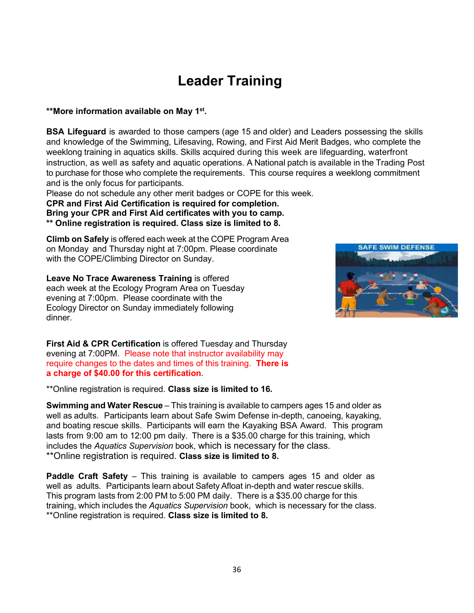### **Leader Training**

#### **\*\*More information available on May 1st.**

**BSA Lifeguard** is awarded to those campers (age 15 and older) and Leaders possessing the skills and knowledge of the Swimming, Lifesaving, Rowing, and First Aid Merit Badges, who complete the weeklong training in aquatics skills. Skills acquired during this week are lifeguarding, waterfront instruction, as well as safety and aquatic operations. A National patch is available in the Trading Post to purchase for those who complete the requirements. This course requires a weeklong commitment and is the only focus for participants.

Please do not schedule any other merit badges or COPE for this week.

**CPR and First Aid Certification is required for completion. Bring your CPR and First Aid certificates with you to camp. \*\* Online registration is required. Class size is limited to 8.**

**Climb on Safely** is offered each week at the COPE Program Area on Monday and Thursday night at 7:00pm. Please coordinate with the COPE/Climbing Director on Sunday.

**Leave No Trace Awareness Training** is offered each week at the Ecology Program Area on Tuesday evening at 7:00pm. Please coordinate with the Ecology Director on Sunday immediately following dinner.

**First Aid & CPR Certification** is offered Tuesday and Thursday evening at 7:00PM. Please note that instructor availability may require changes to the dates and times of this training. **There is a charge of \$40.00 for this certification**.

\*\*Online registration is required. **Class size is limited to 16.**

**Swimming and Water Rescue** – This training is available to campers ages 15 and older as well as adults. Participants learn about Safe Swim Defense in-depth, canoeing, kayaking, and boating rescue skills. Participants will earn the Kayaking BSA Award. This program lasts from 9:00 am to 12:00 pm daily. There is a \$35.00 charge for this training, which includes the *Aquatics Supervision* book, which is necessary for the class. \*\*Online registration is required. **Class size is limited to 8.**

**Paddle Craft Safety** – This training is available to campers ages 15 and older as well as adults. Participants learn about Safety Afloat in-depth and water rescue skills. This program lasts from 2:00 PM to 5:00 PM daily. There is a \$35.00 charge for this training, which includes the *Aquatics Supervision* book, which is necessary for the class. \*\*Online registration is required. **Class size is limited to 8.**

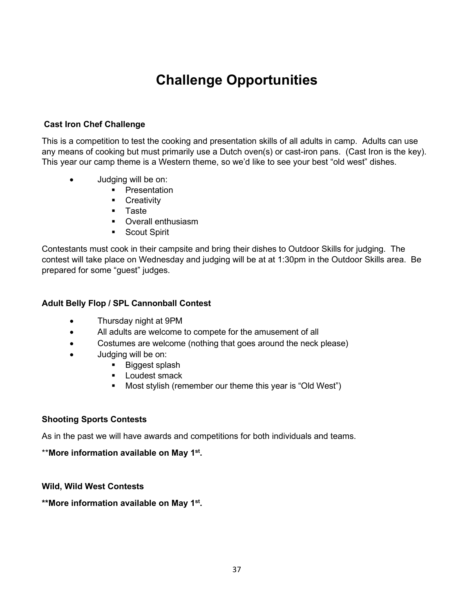### **Challenge Opportunities**

#### **Cast Iron Chef Challenge**

This is a competition to test the cooking and presentation skills of all adults in camp. Adults can use any means of cooking but must primarily use a Dutch oven(s) or cast-iron pans. (Cast Iron is the key). This year our camp theme is a Western theme, so we'd like to see your best "old west" dishes.

- Judging will be on:
	- **•** Presentation
	- **-** Creativity
	- **Taste**
	- **•** Overall enthusiasm
	- **Scout Spirit**

Contestants must cook in their campsite and bring their dishes to Outdoor Skills for judging. The contest will take place on Wednesday and judging will be at at 1:30pm in the Outdoor Skills area. Be prepared for some "guest" judges.

#### **Adult Belly Flop / SPL Cannonball Contest**

- Thursday night at 9PM
- All adults are welcome to compete for the amusement of all
- Costumes are welcome (nothing that goes around the neck please)
- Judging will be on:
	- Biggest splash
	- **Loudest smack**
	- Most stylish (remember our theme this year is "Old West")

#### **Shooting Sports Contests**

As in the past we will have awards and competitions for both individuals and teams.

#### \*\***More information available on May 1st.**

#### **Wild, Wild West Contests**

**\*\*More information available on May 1st.**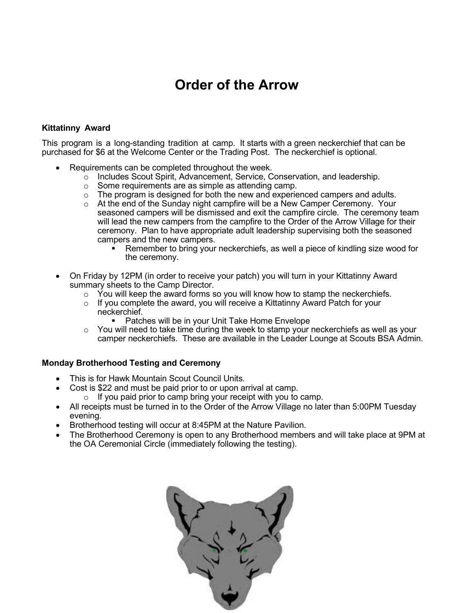### **Order of the Arrow**

#### **Kittatinny Award**

This program is a long-standing tradition at camp. It starts with a green neckerchief that can be purchased for \$6 at the Welcome Center or the Trading Post. The neckerchief is optional.

- Requirements can be completed throughout the week.
	- $\circ$  Includes Scout Spirit, Advancement, Service, Conservation, and leadership.
	- o Some requirements are as simple as attending camp.
	- $\circ$  The program is designed for both the new and experienced campers and adults.
	- o At the end of the Sunday night campfire will be a New Camper Ceremony. Your seasoned campers will be dismissed and exit the campfire circle. The ceremony team will lead the new campers from the campfire to the Order of the Arrow Village for their ceremony. Plan to have appropriate adult leadership supervising both the seasoned campers and the new campers.
		- Remember to bring your neckerchiefs, as well a piece of kindling size wood for the ceremony.
- On Friday by 12PM (in order to receive your patch) you will turn in your Kittatinny Award summary sheets to the Camp Director.
	- $\circ$  You will keep the award forms so you will know how to stamp the neckerchiefs.
	- $\circ$  If you complete the award, you will receive a Kittatinny Award Patch for your neckerchief.
		- **Patches will be in your Unit Take Home Envelope**
	- $\circ$  You will need to take time during the week to stamp your neckerchiefs as well as your camper neckerchiefs. These are available in the Leader Lounge at Scouts BSA Admin.

#### **Monday Brotherhood Testing and Ceremony**

- This is for Hawk Mountain Scout Council Units.
- Cost is \$22 and must be paid prior to or upon arrival at camp.
	- $\circ$  If you paid prior to camp bring your receipt with you to camp.
- All receipts must be turned in to the Order of the Arrow Village no later than 5:00PM Tuesday evening.
- Brotherhood testing will occur at 8:45PM at the Nature Pavilion.
- The Brotherhood Ceremony is open to any Brotherhood members and will take place at 9PM at the OA Ceremonial Circle (immediately following the testing).

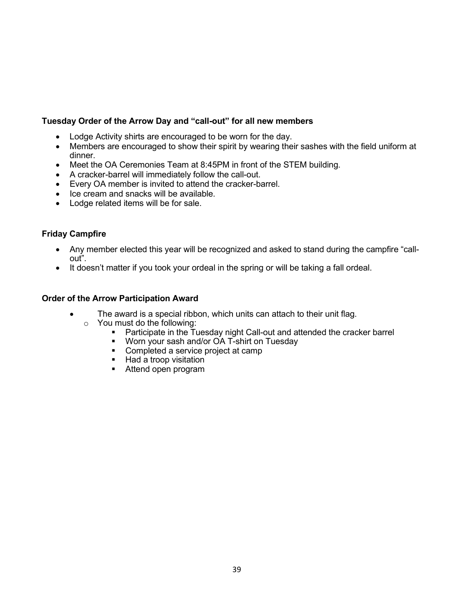#### **Tuesday Order of the Arrow Day and "call-out" for all new members**

- Lodge Activity shirts are encouraged to be worn for the day.
- Members are encouraged to show their spirit by wearing their sashes with the field uniform at dinner.
- Meet the OA Ceremonies Team at 8:45PM in front of the STEM building.
- A cracker-barrel will immediately follow the call-out.
- Every OA member is invited to attend the cracker-barrel.
- Ice cream and snacks will be available.
- Lodge related items will be for sale.

#### **Friday Campfire**

- Any member elected this year will be recognized and asked to stand during the campfire "callout".
- It doesn't matter if you took your ordeal in the spring or will be taking a fall ordeal.

#### **Order of the Arrow Participation Award**

- The award is a special ribbon, which units can attach to their unit flag.
	- o You must do the following:
		- **Participate in the Tuesday night Call-out and attended the cracker barrel**
		- Worn your sash and/or OA T-shirt on Tuesday
		- Completed a service project at camp
		- Had a troop visitation
		- **Attend open program**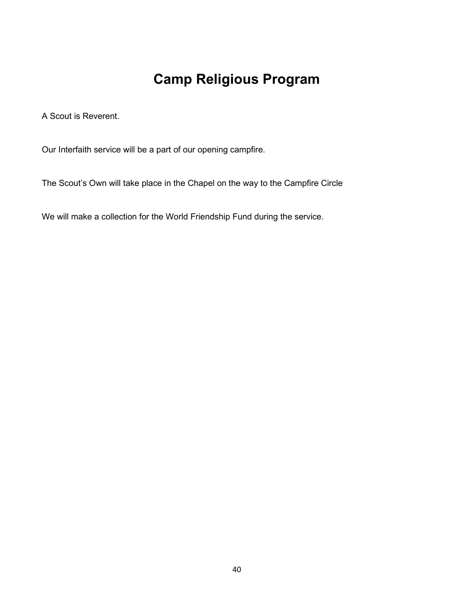# **Camp Religious Program**

A Scout is Reverent.

Our Interfaith service will be a part of our opening campfire.

The Scout's Own will take place in the Chapel on the way to the Campfire Circle

We will make a collection for the World Friendship Fund during the service.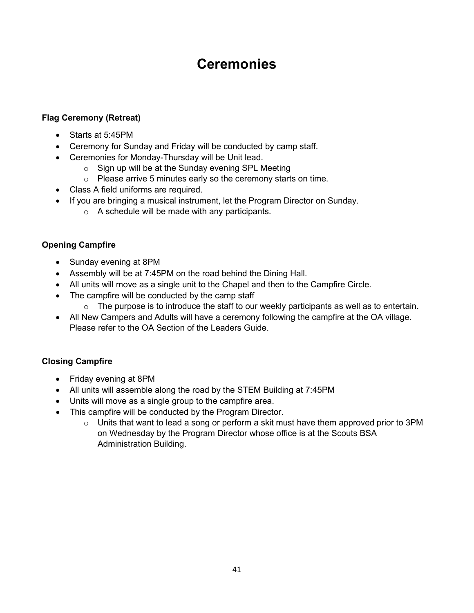### **Ceremonies**

#### **Flag Ceremony (Retreat)**

- Starts at 5:45PM
- Ceremony for Sunday and Friday will be conducted by camp staff.
- Ceremonies for Monday-Thursday will be Unit lead.
	- $\circ$  Sign up will be at the Sunday evening SPL Meeting
	- o Please arrive 5 minutes early so the ceremony starts on time.
- Class A field uniforms are required.
- If you are bringing a musical instrument, let the Program Director on Sunday.
	- $\circ$  A schedule will be made with any participants.

#### **Opening Campfire**

- Sunday evening at 8PM
- Assembly will be at 7:45PM on the road behind the Dining Hall.
- All units will move as a single unit to the Chapel and then to the Campfire Circle.
- The campfire will be conducted by the camp staff
	- $\circ$  The purpose is to introduce the staff to our weekly participants as well as to entertain.
- All New Campers and Adults will have a ceremony following the campfire at the OA village. Please refer to the OA Section of the Leaders Guide.

#### **Closing Campfire**

- Friday evening at 8PM
- All units will assemble along the road by the STEM Building at 7:45PM
- Units will move as a single group to the campfire area.
- This campfire will be conducted by the Program Director.
	- $\circ$  Units that want to lead a song or perform a skit must have them approved prior to 3PM on Wednesday by the Program Director whose office is at the Scouts BSA Administration Building.